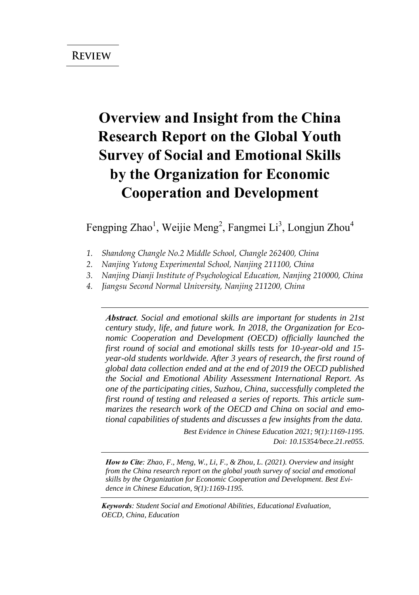# **Overview and Insight from the China Research Report on the Global Youth Survey of Social and Emotional Skills by the Organization for Economic Cooperation and Development**

Fengping Zhao<sup>1</sup>, Weijie Meng<sup>2</sup>, Fangmei Li<sup>3</sup>, Longjun Zhou<sup>4</sup>

- *1. Shandong Changle No.2 Middle School, Changle 262400, China*
- *2. Nanjing Yutong Experimental School, Nanjing 211100, China*
- *3. Nanjing Dianji Institute of Psychological Education, Nanjing 210000, China*
- *4. Jiangsu Second Normal University, Nanjing 211200, China*

*Abstract. Social and emotional skills are important for students in 21st century study, life, and future work. In 2018, the Organization for Economic Cooperation and Development (OECD) officially launched the first round of social and emotional skills tests for 10-year-old and 15 year-old students worldwide. After 3 years of research, the first round of global data collection ended and at the end of 2019 the OECD published the Social and Emotional Ability Assessment International Report. As one of the participating cities, Suzhou, China, successfully completed the first round of testing and released a series of reports. This article summarizes the research work of the OECD and China on social and emotional capabilities of students and discusses a few insights from the data.*

> *Best Evidence in Chinese Education 2021; 9(1):1169-1195. Doi: 10.15354/bece.21.re055.*

*How to Cite: Zhao, F., Meng, W., Li, F., & Zhou, L. (2021). Overview and insight from the China research report on the global youth survey of social and emotional skills by the Organization for Economic Cooperation and Development. Best Evidence in Chinese Education, 9(1):1169-1195.*

*Keywords: Student Social and Emotional Abilities, Educational Evaluation, OECD, China, Education*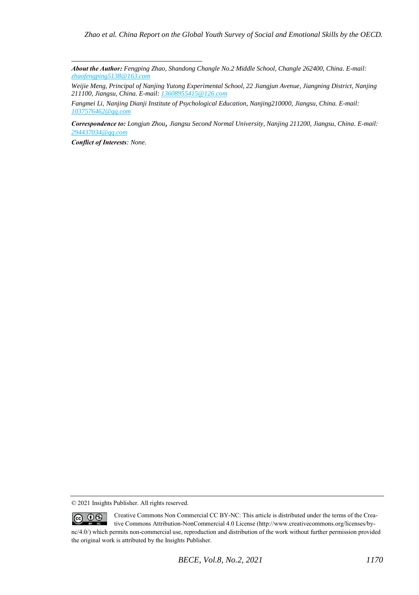*About the Author: Fengping Zhao, Shandong Changle No.2 Middle School, Changle 262400, China. E-mail: [zhaofengping5138@163.com](mailto:zhaofengping5138@163.com)* 

*Weijie Meng, Principal of Nanjing Yutong Experimental School, 22 Jiangjun Avenue, Jiangning District, Nanjing 211100, Jiangsu, China. E-mail[: 13608955415@126.com](mailto:13608955415@126.com)*

*Fangmei Li, Nanjing Dianji Institute of Psychological Education, Nanjing210000, Jiangsu, China. E-mail: [1037576462@qq.com](mailto:1037576462@qq.com)* 

*Correspondence to: Longjun Zhou*, *Jiangsu Second Normal University, Nanjing 211200, Jiangsu, China. E-mail: [294437034@qq.com](mailto:294437034@qq.com)* 

*Conflict of Interests: None.* 

<sup>© 2021</sup> Insights Publisher. All rights reserved.

Creative Commons Non Commercial CC BY-NC: This article is distributed under the terms of the Crea- $\circledcirc$   $\circledcirc$ tive Commons Attribution-NonCommercial 4.0 License (http://www.creativecommons.org/licenses/bync/4.0/) which permits non-commercial use, reproduction and distribution of the work without further permission provided the original work is attributed by the Insights Publisher.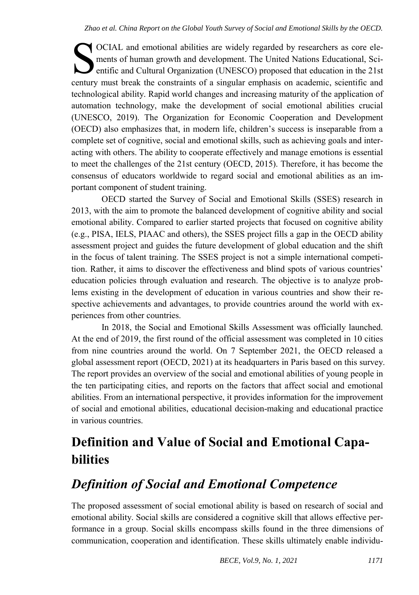OCIAL and emotional abilities are widely regarded by researchers as core elements of human growth and development. The United Nations Educational, Scientific and Cultural Organization (UNESCO) proposed that education in the 21st CCIAL and emotional abilities are widely regarded by researchers as core elements of human growth and development. The United Nations Educational, Scientific and Cultural Organization (UNESCO) proposed that education in th technological ability. Rapid world changes and increasing maturity of the application of automation technology, make the development of social emotional abilities crucial (UNESCO, 2019). The Organization for Economic Cooperation and Development (OECD) also emphasizes that, in modern life, children's success is inseparable from a complete set of cognitive, social and emotional skills, such as achieving goals and interacting with others. The ability to cooperate effectively and manage emotions is essential to meet the challenges of the 21st century (OECD, 2015). Therefore, it has become the consensus of educators worldwide to regard social and emotional abilities as an important component of student training.

OECD started the Survey of Social and Emotional Skills (SSES) research in 2013, with the aim to promote the balanced development of cognitive ability and social emotional ability. Compared to earlier started projects that focused on cognitive ability (e.g., PISA, IELS, PIAAC and others), the SSES project fills a gap in the OECD ability assessment project and guides the future development of global education and the shift in the focus of talent training. The SSES project is not a simple international competition. Rather, it aims to discover the effectiveness and blind spots of various countries' education policies through evaluation and research. The objective is to analyze problems existing in the development of education in various countries and show their respective achievements and advantages, to provide countries around the world with experiences from other countries.

In 2018, the Social and Emotional Skills Assessment was officially launched. At the end of 2019, the first round of the official assessment was completed in 10 cities from nine countries around the world. On 7 September 2021, the OECD released a global assessment report (OECD, 2021) at its headquarters in Paris based on this survey. The report provides an overview of the social and emotional abilities of young people in the ten participating cities, and reports on the factors that affect social and emotional abilities. From an international perspective, it provides information for the improvement of social and emotional abilities, educational decision-making and educational practice in various countries.

# **Definition and Value of Social and Emotional Capabilities**

# *Definition of Social and Emotional Competence*

The proposed assessment of social emotional ability is based on research of social and emotional ability. Social skills are considered a cognitive skill that allows effective performance in a group. Social skills encompass skills found in the three dimensions of communication, cooperation and identification. These skills ultimately enable individu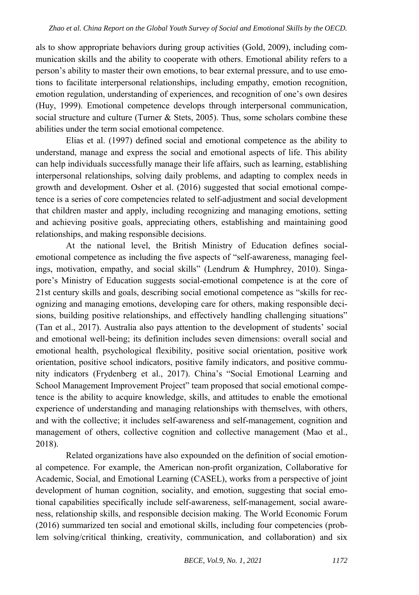als to show appropriate behaviors during group activities (Gold, 2009), including communication skills and the ability to cooperate with others. Emotional ability refers to a person's ability to master their own emotions, to bear external pressure, and to use emotions to facilitate interpersonal relationships, including empathy, emotion recognition, emotion regulation, understanding of experiences, and recognition of one's own desires (Huy, 1999). Emotional competence develops through interpersonal communication, social structure and culture (Turner  $\&$  Stets, 2005). Thus, some scholars combine these abilities under the term social emotional competence.

Elias et al. (1997) defined social and emotional competence as the ability to understand, manage and express the social and emotional aspects of life. This ability can help individuals successfully manage their life affairs, such as learning, establishing interpersonal relationships, solving daily problems, and adapting to complex needs in growth and development. Osher et al. (2016) suggested that social emotional competence is a series of core competencies related to self-adjustment and social development that children master and apply, including recognizing and managing emotions, setting and achieving positive goals, appreciating others, establishing and maintaining good relationships, and making responsible decisions.

At the national level, the British Ministry of Education defines socialemotional competence as including the five aspects of "self-awareness, managing feelings, motivation, empathy, and social skills" (Lendrum & Humphrey, 2010). Singapore's Ministry of Education suggests social-emotional competence is at the core of 21st century skills and goals, describing social emotional competence as "skills for recognizing and managing emotions, developing care for others, making responsible decisions, building positive relationships, and effectively handling challenging situations" (Tan et al., 2017). Australia also pays attention to the development of students' social and emotional well-being; its definition includes seven dimensions: overall social and emotional health, psychological flexibility, positive social orientation, positive work orientation, positive school indicators, positive family indicators, and positive community indicators (Frydenberg et al., 2017). China's "Social Emotional Learning and School Management Improvement Project" team proposed that social emotional competence is the ability to acquire knowledge, skills, and attitudes to enable the emotional experience of understanding and managing relationships with themselves, with others, and with the collective; it includes self-awareness and self-management, cognition and management of others, collective cognition and collective management (Mao et al., 2018).

Related organizations have also expounded on the definition of social emotional competence. For example, the American non-profit organization, Collaborative for Academic, Social, and Emotional Learning (CASEL), works from a perspective of joint development of human cognition, sociality, and emotion, suggesting that social emotional capabilities specifically include self-awareness, self-management, social awareness, relationship skills, and responsible decision making. The World Economic Forum (2016) summarized ten social and emotional skills, including four competencies (problem solving/critical thinking, creativity, communication, and collaboration) and six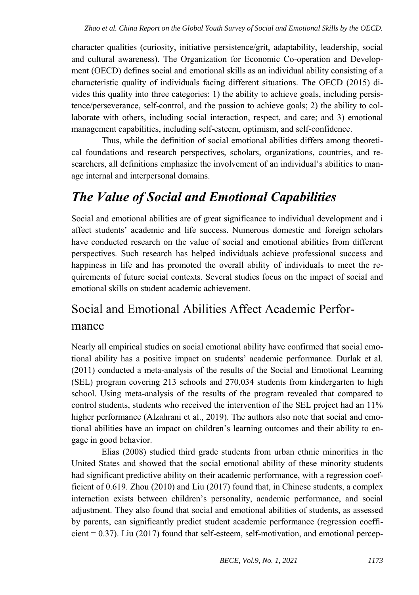character qualities (curiosity, initiative persistence/grit, adaptability, leadership, social and cultural awareness). The Organization for Economic Co-operation and Development (OECD) defines social and emotional skills as an individual ability consisting of a characteristic quality of individuals facing different situations. The OECD (2015) divides this quality into three categories: 1) the ability to achieve goals, including persistence/perseverance, self-control, and the passion to achieve goals; 2) the ability to collaborate with others, including social interaction, respect, and care; and 3) emotional management capabilities, including self-esteem, optimism, and self-confidence.

Thus, while the definition of social emotional abilities differs among theoretical foundations and research perspectives, scholars, organizations, countries, and researchers, all definitions emphasize the involvement of an individual's abilities to manage internal and interpersonal domains.

## *The Value of Social and Emotional Capabilities*

Social and emotional abilities are of great significance to individual development and i affect students' academic and life success. Numerous domestic and foreign scholars have conducted research on the value of social and emotional abilities from different perspectives. Such research has helped individuals achieve professional success and happiness in life and has promoted the overall ability of individuals to meet the requirements of future social contexts. Several studies focus on the impact of social and emotional skills on student academic achievement.

## Social and Emotional Abilities Affect Academic Performance

Nearly all empirical studies on social emotional ability have confirmed that social emotional ability has a positive impact on students' academic performance. Durlak et al. (2011) conducted a meta-analysis of the results of the Social and Emotional Learning (SEL) program covering 213 schools and 270,034 students from kindergarten to high school. Using meta-analysis of the results of the program revealed that compared to control students, students who received the intervention of the SEL project had an 11% higher performance (Alzahrani et al., 2019). The authors also note that social and emotional abilities have an impact on children's learning outcomes and their ability to engage in good behavior.

Elias (2008) studied third grade students from urban ethnic minorities in the United States and showed that the social emotional ability of these minority students had significant predictive ability on their academic performance, with a regression coefficient of 0.619. Zhou (2010) and Liu (2017) found that, in Chinese students, a complex interaction exists between children's personality, academic performance, and social adjustment. They also found that social and emotional abilities of students, as assessed by parents, can significantly predict student academic performance (regression coeffi $cient = 0.37$ ). Liu (2017) found that self-esteem, self-motivation, and emotional percep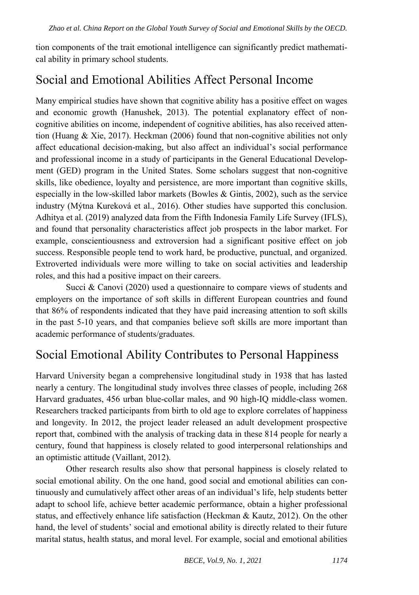tion components of the trait emotional intelligence can significantly predict mathematical ability in primary school students.

### Social and Emotional Abilities Affect Personal Income

Many empirical studies have shown that cognitive ability has a positive effect on wages and economic growth (Hanushek, 2013). The potential explanatory effect of noncognitive abilities on income, independent of cognitive abilities, has also received attention (Huang & Xie, 2017). Heckman (2006) found that non-cognitive abilities not only affect educational decision-making, but also affect an individual's social performance and professional income in a study of participants in the General Educational Development (GED) program in the United States. Some scholars suggest that non-cognitive skills, like obedience, loyalty and persistence, are more important than cognitive skills, especially in the low-skilled labor markets (Bowles & Gintis, 2002), such as the service industry (Mýtna Kureková et al., 2016). Other studies have supported this conclusion. Adhitya et al. (2019) analyzed data from the Fifth Indonesia Family Life Survey (IFLS), and found that personality characteristics affect job prospects in the labor market. For example, conscientiousness and extroversion had a significant positive effect on job success. Responsible people tend to work hard, be productive, punctual, and organized. Extroverted individuals were more willing to take on social activities and leadership roles, and this had a positive impact on their careers.

Succi & Canovi (2020) used a questionnaire to compare views of students and employers on the importance of soft skills in different European countries and found that 86% of respondents indicated that they have paid increasing attention to soft skills in the past 5-10 years, and that companies believe soft skills are more important than academic performance of students/graduates.

#### Social Emotional Ability Contributes to Personal Happiness

Harvard University began a comprehensive longitudinal study in 1938 that has lasted nearly a century. The longitudinal study involves three classes of people, including 268 Harvard graduates, 456 urban blue-collar males, and 90 high-IQ middle-class women. Researchers tracked participants from birth to old age to explore correlates of happiness and longevity. In 2012, the project leader released an adult development prospective report that, combined with the analysis of tracking data in these 814 people for nearly a century, found that happiness is closely related to good interpersonal relationships and an optimistic attitude (Vaillant, 2012).

Other research results also show that personal happiness is closely related to social emotional ability. On the one hand, good social and emotional abilities can continuously and cumulatively affect other areas of an individual's life, help students better adapt to school life, achieve better academic performance, obtain a higher professional status, and effectively enhance life satisfaction (Heckman & Kautz, 2012). On the other hand, the level of students' social and emotional ability is directly related to their future marital status, health status, and moral level. For example, social and emotional abilities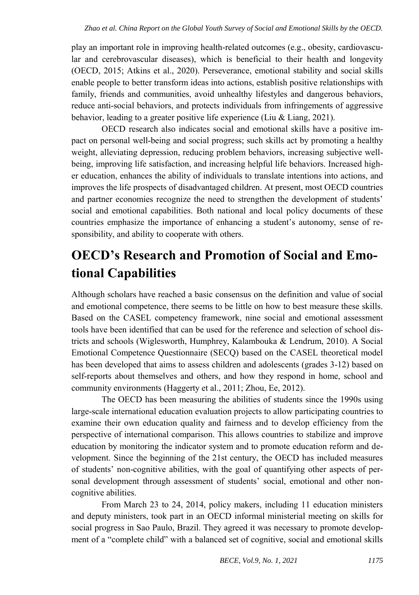play an important role in improving health-related outcomes (e.g., obesity, cardiovascular and cerebrovascular diseases), which is beneficial to their health and longevity (OECD, 2015; Atkins et al., 2020). Perseverance, emotional stability and social skills enable people to better transform ideas into actions, establish positive relationships with family, friends and communities, avoid unhealthy lifestyles and dangerous behaviors, reduce anti-social behaviors, and protects individuals from infringements of aggressive behavior, leading to a greater positive life experience (Liu & Liang, 2021).

OECD research also indicates social and emotional skills have a positive impact on personal well-being and social progress; such skills act by promoting a healthy weight, alleviating depression, reducing problem behaviors, increasing subjective wellbeing, improving life satisfaction, and increasing helpful life behaviors. Increased higher education, enhances the ability of individuals to translate intentions into actions, and improves the life prospects of disadvantaged children. At present, most OECD countries and partner economies recognize the need to strengthen the development of students' social and emotional capabilities. Both national and local policy documents of these countries emphasize the importance of enhancing a student's autonomy, sense of responsibility, and ability to cooperate with others.

# **OECD's Research and Promotion of Social and Emotional Capabilities**

Although scholars have reached a basic consensus on the definition and value of social and emotional competence, there seems to be little on how to best measure these skills. Based on the CASEL competency framework, nine social and emotional assessment tools have been identified that can be used for the reference and selection of school districts and schools (Wiglesworth, Humphrey, Kalambouka & Lendrum, 2010). A Social Emotional Competence Questionnaire (SECQ) based on the CASEL theoretical model has been developed that aims to assess children and adolescents (grades 3-12) based on self-reports about themselves and others, and how they respond in home, school and community environments (Haggerty et al., 2011; Zhou, Ee, 2012).

The OECD has been measuring the abilities of students since the 1990s using large-scale international education evaluation projects to allow participating countries to examine their own education quality and fairness and to develop efficiency from the perspective of international comparison. This allows countries to stabilize and improve education by monitoring the indicator system and to promote education reform and development. Since the beginning of the 21st century, the OECD has included measures of students' non-cognitive abilities, with the goal of quantifying other aspects of personal development through assessment of students' social, emotional and other noncognitive abilities.

From March 23 to 24, 2014, policy makers, including 11 education ministers and deputy ministers, took part in an OECD informal ministerial meeting on skills for social progress in Sao Paulo, Brazil. They agreed it was necessary to promote development of a "complete child" with a balanced set of cognitive, social and emotional skills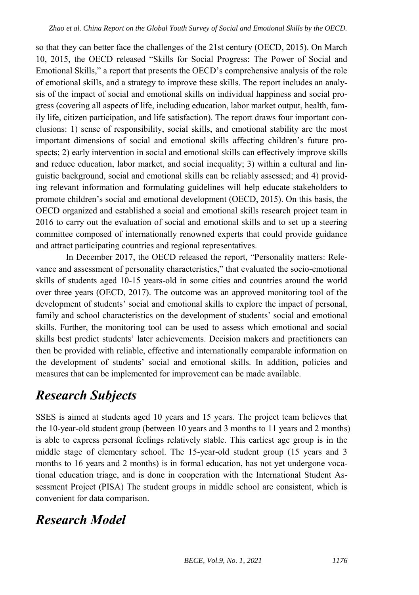so that they can better face the challenges of the 21st century (OECD, 2015). On March 10, 2015, the OECD released "Skills for Social Progress: The Power of Social and Emotional Skills," a report that presents the OECD's comprehensive analysis of the role of emotional skills, and a strategy to improve these skills. The report includes an analysis of the impact of social and emotional skills on individual happiness and social progress (covering all aspects of life, including education, labor market output, health, family life, citizen participation, and life satisfaction). The report draws four important conclusions: 1) sense of responsibility, social skills, and emotional stability are the most important dimensions of social and emotional skills affecting children's future prospects; 2) early intervention in social and emotional skills can effectively improve skills and reduce education, labor market, and social inequality; 3) within a cultural and linguistic background, social and emotional skills can be reliably assessed; and 4) providing relevant information and formulating guidelines will help educate stakeholders to promote children's social and emotional development (OECD, 2015). On this basis, the OECD organized and established a social and emotional skills research project team in 2016 to carry out the evaluation of social and emotional skills and to set up a steering committee composed of internationally renowned experts that could provide guidance and attract participating countries and regional representatives.

In December 2017, the OECD released the report, "Personality matters: Relevance and assessment of personality characteristics," that evaluated the socio-emotional skills of students aged 10-15 years-old in some cities and countries around the world over three years (OECD, 2017). The outcome was an approved monitoring tool of the development of students' social and emotional skills to explore the impact of personal, family and school characteristics on the development of students' social and emotional skills. Further, the monitoring tool can be used to assess which emotional and social skills best predict students' later achievements. Decision makers and practitioners can then be provided with reliable, effective and internationally comparable information on the development of students' social and emotional skills. In addition, policies and measures that can be implemented for improvement can be made available.

# *Research Subjects*

SSES is aimed at students aged 10 years and 15 years. The project team believes that the 10-year-old student group (between 10 years and 3 months to 11 years and 2 months) is able to express personal feelings relatively stable. This earliest age group is in the middle stage of elementary school. The 15-year-old student group (15 years and 3 months to 16 years and 2 months) is in formal education, has not yet undergone vocational education triage, and is done in cooperation with the International Student Assessment Project (PISA) The student groups in middle school are consistent, which is convenient for data comparison.

## *Research Model*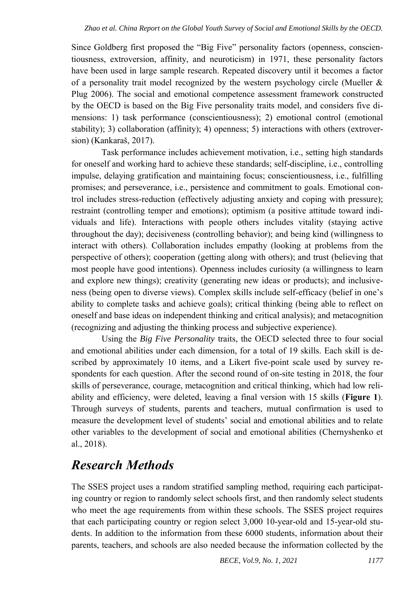Since Goldberg first proposed the "Big Five" personality factors (openness, conscientiousness, extroversion, affinity, and neuroticism) in 1971, these personality factors have been used in large sample research. Repeated discovery until it becomes a factor of a personality trait model recognized by the western psychology circle (Mueller  $\&$ Plug 2006). The social and emotional competence assessment framework constructed by the OECD is based on the Big Five personality traits model, and considers five dimensions: 1) task performance (conscientiousness); 2) emotional control (emotional stability); 3) collaboration (affinity); 4) openness; 5) interactions with others (extroversion) (Kankaraš, 2017).

Task performance includes achievement motivation, i.e., setting high standards for oneself and working hard to achieve these standards; self-discipline, i.e., controlling impulse, delaying gratification and maintaining focus; conscientiousness, i.e., fulfilling promises; and perseverance, i.e., persistence and commitment to goals. Emotional control includes stress-reduction (effectively adjusting anxiety and coping with pressure); restraint (controlling temper and emotions); optimism (a positive attitude toward individuals and life). Interactions with people others includes vitality (staying active throughout the day); decisiveness (controlling behavior); and being kind (willingness to interact with others). Collaboration includes empathy (looking at problems from the perspective of others); cooperation (getting along with others); and trust (believing that most people have good intentions). Openness includes curiosity (a willingness to learn and explore new things); creativity (generating new ideas or products); and inclusiveness (being open to diverse views). Complex skills include self-efficacy (belief in one's ability to complete tasks and achieve goals); critical thinking (being able to reflect on oneself and base ideas on independent thinking and critical analysis); and metacognition (recognizing and adjusting the thinking process and subjective experience).

Using the *Big Five Personality* traits, the OECD selected three to four social and emotional abilities under each dimension, for a total of 19 skills. Each skill is described by approximately 10 items, and a Likert five-point scale used by survey respondents for each question. After the second round of on-site testing in 2018, the four skills of perseverance, courage, metacognition and critical thinking, which had low reliability and efficiency, were deleted, leaving a final version with 15 skills (**Figure 1**). Through surveys of students, parents and teachers, mutual confirmation is used to measure the development level of students' social and emotional abilities and to relate other variables to the development of social and emotional abilities (Chernyshenko et al., 2018).

### *Research Methods*

The SSES project uses a random stratified sampling method, requiring each participating country or region to randomly select schools first, and then randomly select students who meet the age requirements from within these schools. The SSES project requires that each participating country or region select 3,000 10-year-old and 15-year-old students. In addition to the information from these 6000 students, information about their parents, teachers, and schools are also needed because the information collected by the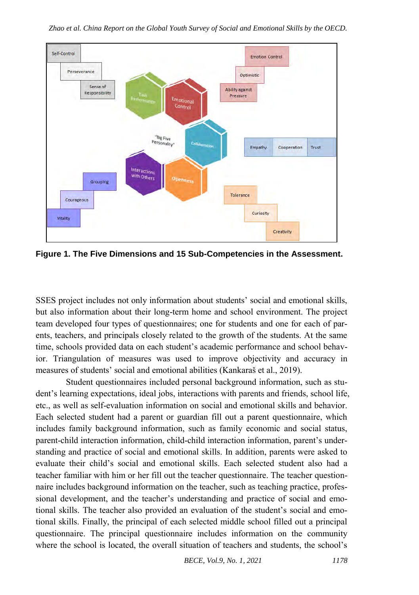

*Zhao et al. China Report on the Global Youth Survey of Social and Emotional Skills by the OECD.* 

**Figure 1. The Five Dimensions and 15 Sub-Competencies in the Assessment.**

SSES project includes not only information about students' social and emotional skills, but also information about their long-term home and school environment. The project team developed four types of questionnaires; one for students and one for each of parents, teachers, and principals closely related to the growth of the students. At the same time, schools provided data on each student's academic performance and school behavior. Triangulation of measures was used to improve objectivity and accuracy in measures of students' social and emotional abilities (Kankaraš et al., 2019).

Student questionnaires included personal background information, such as student's learning expectations, ideal jobs, interactions with parents and friends, school life, etc., as well as self-evaluation information on social and emotional skills and behavior. Each selected student had a parent or guardian fill out a parent questionnaire, which includes family background information, such as family economic and social status, parent-child interaction information, child-child interaction information, parent's understanding and practice of social and emotional skills. In addition, parents were asked to evaluate their child's social and emotional skills. Each selected student also had a teacher familiar with him or her fill out the teacher questionnaire. The teacher questionnaire includes background information on the teacher, such as teaching practice, professional development, and the teacher's understanding and practice of social and emotional skills. The teacher also provided an evaluation of the student's social and emotional skills. Finally, the principal of each selected middle school filled out a principal questionnaire. The principal questionnaire includes information on the community where the school is located, the overall situation of teachers and students, the school's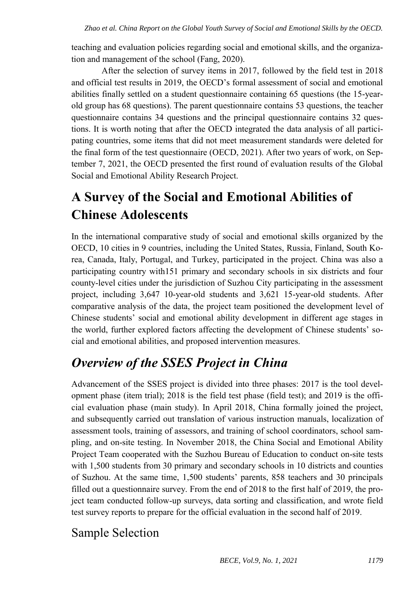teaching and evaluation policies regarding social and emotional skills, and the organization and management of the school (Fang, 2020).

After the selection of survey items in 2017, followed by the field test in 2018 and official test results in 2019, the OECD's formal assessment of social and emotional abilities finally settled on a student questionnaire containing 65 questions (the 15-yearold group has 68 questions). The parent questionnaire contains 53 questions, the teacher questionnaire contains 34 questions and the principal questionnaire contains 32 questions. It is worth noting that after the OECD integrated the data analysis of all participating countries, some items that did not meet measurement standards were deleted for the final form of the test questionnaire (OECD, 2021). After two years of work, on September 7, 2021, the OECD presented the first round of evaluation results of the Global Social and Emotional Ability Research Project.

# **A Survey of the Social and Emotional Abilities of Chinese Adolescents**

In the international comparative study of social and emotional skills organized by the OECD, 10 cities in 9 countries, including the United States, Russia, Finland, South Korea, Canada, Italy, Portugal, and Turkey, participated in the project. China was also a participating country with151 primary and secondary schools in six districts and four county-level cities under the jurisdiction of Suzhou City participating in the assessment project, including 3,647 10-year-old students and 3,621 15-year-old students. After comparative analysis of the data, the project team positioned the development level of Chinese students' social and emotional ability development in different age stages in the world, further explored factors affecting the development of Chinese students' social and emotional abilities, and proposed intervention measures.

# *Overview of the SSES Project in China*

Advancement of the SSES project is divided into three phases: 2017 is the tool development phase (item trial); 2018 is the field test phase (field test); and 2019 is the official evaluation phase (main study). In April 2018, China formally joined the project, and subsequently carried out translation of various instruction manuals, localization of assessment tools, training of assessors, and training of school coordinators, school sampling, and on-site testing. In November 2018, the China Social and Emotional Ability Project Team cooperated with the Suzhou Bureau of Education to conduct on-site tests with 1,500 students from 30 primary and secondary schools in 10 districts and counties of Suzhou. At the same time, 1,500 students' parents, 858 teachers and 30 principals filled out a questionnaire survey. From the end of 2018 to the first half of 2019, the project team conducted follow-up surveys, data sorting and classification, and wrote field test survey reports to prepare for the official evaluation in the second half of 2019.

#### Sample Selection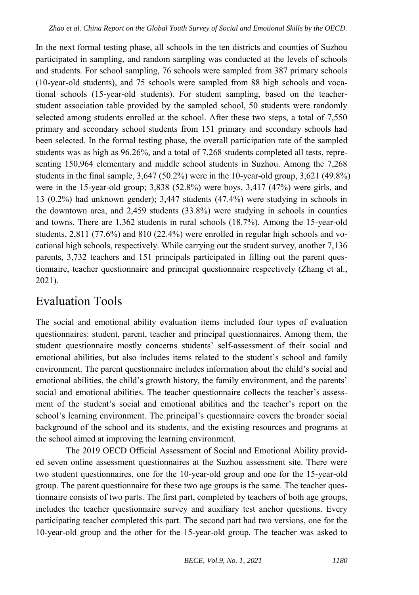In the next formal testing phase, all schools in the ten districts and counties of Suzhou participated in sampling, and random sampling was conducted at the levels of schools and students. For school sampling, 76 schools were sampled from 387 primary schools (10-year-old students), and 75 schools were sampled from 88 high schools and vocational schools (15-year-old students). For student sampling, based on the teacherstudent association table provided by the sampled school, 50 students were randomly selected among students enrolled at the school. After these two steps, a total of 7,550 primary and secondary school students from 151 primary and secondary schools had been selected. In the formal testing phase, the overall participation rate of the sampled students was as high as 96.26%, and a total of 7,268 students completed all tests, representing 150,964 elementary and middle school students in Suzhou. Among the 7,268 students in the final sample,  $3,647$  (50.2%) were in the 10-year-old group,  $3,621$  (49.8%) were in the 15-year-old group; 3,838 (52.8%) were boys, 3,417 (47%) were girls, and 13 (0.2%) had unknown gender); 3,447 students (47.4%) were studying in schools in the downtown area, and 2,459 students (33.8%) were studying in schools in counties and towns. There are 1,362 students in rural schools (18.7%). Among the 15-year-old students, 2,811 (77.6%) and 810 (22.4%) were enrolled in regular high schools and vocational high schools, respectively. While carrying out the student survey, another 7,136 parents, 3,732 teachers and 151 principals participated in filling out the parent questionnaire, teacher questionnaire and principal questionnaire respectively (Zhang et al., 2021).

### Evaluation Tools

The social and emotional ability evaluation items included four types of evaluation questionnaires: student, parent, teacher and principal questionnaires. Among them, the student questionnaire mostly concerns students' self-assessment of their social and emotional abilities, but also includes items related to the student's school and family environment. The parent questionnaire includes information about the child's social and emotional abilities, the child's growth history, the family environment, and the parents' social and emotional abilities. The teacher questionnaire collects the teacher's assessment of the student's social and emotional abilities and the teacher's report on the school's learning environment. The principal's questionnaire covers the broader social background of the school and its students, and the existing resources and programs at the school aimed at improving the learning environment.

The 2019 OECD Official Assessment of Social and Emotional Ability provided seven online assessment questionnaires at the Suzhou assessment site. There were two student questionnaires, one for the 10-year-old group and one for the 15-year-old group. The parent questionnaire for these two age groups is the same. The teacher questionnaire consists of two parts. The first part, completed by teachers of both age groups, includes the teacher questionnaire survey and auxiliary test anchor questions. Every participating teacher completed this part. The second part had two versions, one for the 10-year-old group and the other for the 15-year-old group. The teacher was asked to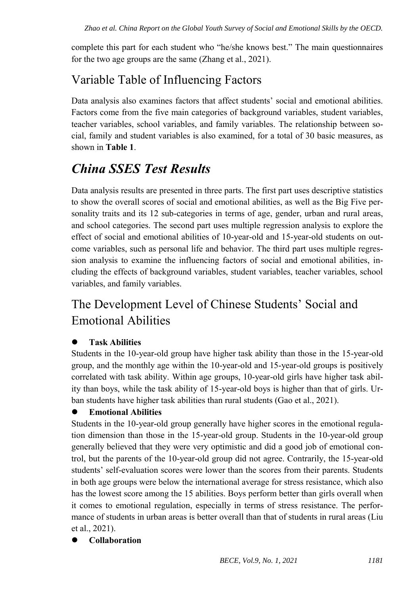complete this part for each student who "he/she knows best." The main questionnaires for the two age groups are the same (Zhang et al., 2021).

### Variable Table of Influencing Factors

Data analysis also examines factors that affect students' social and emotional abilities. Factors come from the five main categories of background variables, student variables, teacher variables, school variables, and family variables. The relationship between social, family and student variables is also examined, for a total of 30 basic measures, as shown in **Table 1**.

## *China SSES Test Results*

Data analysis results are presented in three parts. The first part uses descriptive statistics to show the overall scores of social and emotional abilities, as well as the Big Five personality traits and its 12 sub-categories in terms of age, gender, urban and rural areas, and school categories. The second part uses multiple regression analysis to explore the effect of social and emotional abilities of 10-year-old and 15-year-old students on outcome variables, such as personal life and behavior. The third part uses multiple regression analysis to examine the influencing factors of social and emotional abilities, including the effects of background variables, student variables, teacher variables, school variables, and family variables.

## The Development Level of Chinese Students' Social and Emotional Abilities

#### **Task Abilities**

Students in the 10-year-old group have higher task ability than those in the 15-year-old group, and the monthly age within the 10-year-old and 15-year-old groups is positively correlated with task ability. Within age groups, 10-year-old girls have higher task ability than boys, while the task ability of 15-year-old boys is higher than that of girls. Urban students have higher task abilities than rural students (Gao et al., 2021).

#### **Emotional Abilities**

Students in the 10-year-old group generally have higher scores in the emotional regulation dimension than those in the 15-year-old group. Students in the 10-year-old group generally believed that they were very optimistic and did a good job of emotional control, but the parents of the 10-year-old group did not agree. Contrarily, the 15-year-old students' self-evaluation scores were lower than the scores from their parents. Students in both age groups were below the international average for stress resistance, which also has the lowest score among the 15 abilities. Boys perform better than girls overall when it comes to emotional regulation, especially in terms of stress resistance. The performance of students in urban areas is better overall than that of students in rural areas (Liu et al., 2021).

#### **Collaboration**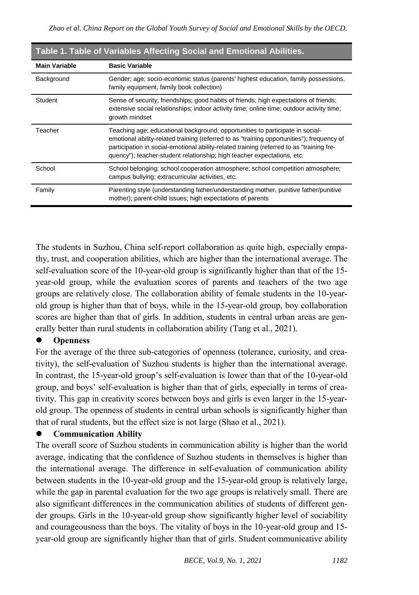| <b>TUBIC 1. TUBIC OF FULLUBICS ATTOUTING ODDIER UND EMPIRIONER ADMITTION</b> |                                                                                                                                                                                                                                                                                                                                                     |
|------------------------------------------------------------------------------|-----------------------------------------------------------------------------------------------------------------------------------------------------------------------------------------------------------------------------------------------------------------------------------------------------------------------------------------------------|
| <b>Main Variable</b>                                                         | <b>Basic Variable</b>                                                                                                                                                                                                                                                                                                                               |
| Background                                                                   | Gender; age; socio-economic status (parents' highest education, family possessions,<br>family equipment, family book collection)                                                                                                                                                                                                                    |
| Student                                                                      | Sense of security; friendships; good habits of friends; high expectations of friends;<br>extensive social relationships; indoor activity time; online time; outdoor activity time;<br>growth mindset                                                                                                                                                |
| Teacher                                                                      | Teaching age; educational background; opportunities to participate in social-<br>emotional ability-related training (referred to as "training opportunities"); frequency of<br>participation in social-emotional ability-related training (referred to as "training fre-<br>quency"); teacher-student relationship; high teacher expectations, etc. |
| School                                                                       | School belonging; school cooperation atmosphere; school competition atmosphere;<br>campus bullying; extracurricular activities, etc.                                                                                                                                                                                                                |
| Family                                                                       | Parenting style (understanding father/understanding mother, punitive father/punitive<br>mother); parent-child issues; high expectations of parents                                                                                                                                                                                                  |

#### **Table 1. Table of Variables Affecting Social and Emotional Abilities.**

The students in Suzhou, China self-report collaboration as quite high, especially empathy, trust, and cooperation abilities, which are higher than the international average. The self-evaluation score of the 10-year-old group is significantly higher than that of the 15 year-old group, while the evaluation scores of parents and teachers of the two age groups are relatively close. The collaboration ability of female students in the 10-yearold group is higher than that of boys, while in the 15-year-old group, boy collaboration scores are higher than that of girls. In addition, students in central urban areas are generally better than rural students in collaboration ability (Tang et al., 2021).

#### **Openness**

For the average of the three sub-categories of openness (tolerance, curiosity, and creativity), the self-evaluation of Suzhou students is higher than the international average. In contrast, the 15-year-old group's self-evaluation is lower than that of the 10-year-old group, and boys' self-evaluation is higher than that of girls, especially in terms of creativity. This gap in creativity scores between boys and girls is even larger in the 15-yearold group. The openness of students in central urban schools is significantly higher than that of rural students, but the effect size is not large (Shao et al., 2021).

#### **Communication Ability**

The overall score of Suzhou students in communication ability is higher than the world average, indicating that the confidence of Suzhou students in themselves is higher than the international average. The difference in self-evaluation of communication ability between students in the 10-year-old group and the 15-year-old group is relatively large, while the gap in parental evaluation for the two age groups is relatively small. There are also significant differences in the communication abilities of students of different gender groups. Girls in the 10-year-old group show significantly higher level of sociability and courageousness than the boys. The vitality of boys in the 10-year-old group and 15 year-old group are significantly higher than that of girls. Student communicative ability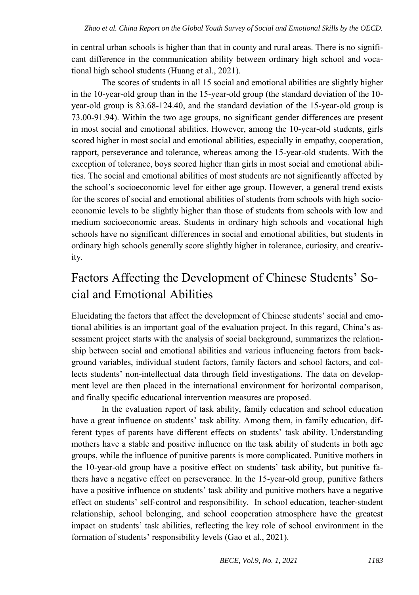in central urban schools is higher than that in county and rural areas. There is no significant difference in the communication ability between ordinary high school and vocational high school students (Huang et al., 2021).

The scores of students in all 15 social and emotional abilities are slightly higher in the 10-year-old group than in the 15-year-old group (the standard deviation of the 10 year-old group is 83.68-124.40, and the standard deviation of the 15-year-old group is 73.00-91.94). Within the two age groups, no significant gender differences are present in most social and emotional abilities. However, among the 10-year-old students, girls scored higher in most social and emotional abilities, especially in empathy, cooperation, rapport, perseverance and tolerance, whereas among the 15-year-old students. With the exception of tolerance, boys scored higher than girls in most social and emotional abilities. The social and emotional abilities of most students are not significantly affected by the school's socioeconomic level for either age group. However, a general trend exists for the scores of social and emotional abilities of students from schools with high socioeconomic levels to be slightly higher than those of students from schools with low and medium socioeconomic areas. Students in ordinary high schools and vocational high schools have no significant differences in social and emotional abilities, but students in ordinary high schools generally score slightly higher in tolerance, curiosity, and creativity.

### Factors Affecting the Development of Chinese Students' Social and Emotional Abilities

Elucidating the factors that affect the development of Chinese students' social and emotional abilities is an important goal of the evaluation project. In this regard, China's assessment project starts with the analysis of social background, summarizes the relationship between social and emotional abilities and various influencing factors from background variables, individual student factors, family factors and school factors, and collects students' non-intellectual data through field investigations. The data on development level are then placed in the international environment for horizontal comparison, and finally specific educational intervention measures are proposed.

In the evaluation report of task ability, family education and school education have a great influence on students' task ability. Among them, in family education, different types of parents have different effects on students' task ability. Understanding mothers have a stable and positive influence on the task ability of students in both age groups, while the influence of punitive parents is more complicated. Punitive mothers in the 10-year-old group have a positive effect on students' task ability, but punitive fathers have a negative effect on perseverance. In the 15-year-old group, punitive fathers have a positive influence on students' task ability and punitive mothers have a negative effect on students' self-control and responsibility. In school education, teacher-student relationship, school belonging, and school cooperation atmosphere have the greatest impact on students' task abilities, reflecting the key role of school environment in the formation of students' responsibility levels (Gao et al., 2021).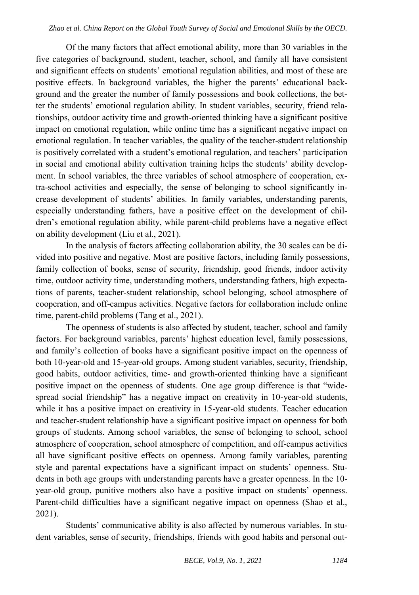Of the many factors that affect emotional ability, more than 30 variables in the five categories of background, student, teacher, school, and family all have consistent and significant effects on students' emotional regulation abilities, and most of these are positive effects. In background variables, the higher the parents' educational background and the greater the number of family possessions and book collections, the better the students' emotional regulation ability. In student variables, security, friend relationships, outdoor activity time and growth-oriented thinking have a significant positive impact on emotional regulation, while online time has a significant negative impact on emotional regulation. In teacher variables, the quality of the teacher-student relationship is positively correlated with a student's emotional regulation, and teachers' participation in social and emotional ability cultivation training helps the students' ability development. In school variables, the three variables of school atmosphere of cooperation, extra-school activities and especially, the sense of belonging to school significantly increase development of students' abilities. In family variables, understanding parents, especially understanding fathers, have a positive effect on the development of children's emotional regulation ability, while parent-child problems have a negative effect on ability development (Liu et al., 2021).

In the analysis of factors affecting collaboration ability, the 30 scales can be divided into positive and negative. Most are positive factors, including family possessions, family collection of books, sense of security, friendship, good friends, indoor activity time, outdoor activity time, understanding mothers, understanding fathers, high expectations of parents, teacher-student relationship, school belonging, school atmosphere of cooperation, and off-campus activities. Negative factors for collaboration include online time, parent-child problems (Tang et al., 2021).

The openness of students is also affected by student, teacher, school and family factors. For background variables, parents' highest education level, family possessions, and family's collection of books have a significant positive impact on the openness of both 10-year-old and 15-year-old groups. Among student variables, security, friendship, good habits, outdoor activities, time- and growth-oriented thinking have a significant positive impact on the openness of students. One age group difference is that "widespread social friendship" has a negative impact on creativity in 10-year-old students, while it has a positive impact on creativity in 15-year-old students. Teacher education and teacher-student relationship have a significant positive impact on openness for both groups of students. Among school variables, the sense of belonging to school, school atmosphere of cooperation, school atmosphere of competition, and off-campus activities all have significant positive effects on openness. Among family variables, parenting style and parental expectations have a significant impact on students' openness. Students in both age groups with understanding parents have a greater openness. In the 10 year-old group, punitive mothers also have a positive impact on students' openness. Parent-child difficulties have a significant negative impact on openness (Shao et al., 2021).

Students' communicative ability is also affected by numerous variables. In student variables, sense of security, friendships, friends with good habits and personal out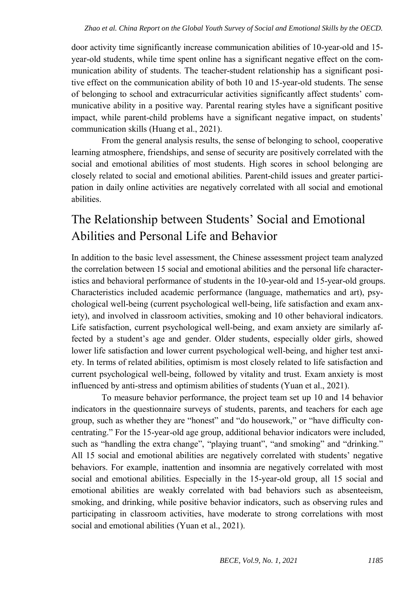door activity time significantly increase communication abilities of 10-year-old and 15 year-old students, while time spent online has a significant negative effect on the communication ability of students. The teacher-student relationship has a significant positive effect on the communication ability of both 10 and 15-year-old students. The sense of belonging to school and extracurricular activities significantly affect students' communicative ability in a positive way. Parental rearing styles have a significant positive impact, while parent-child problems have a significant negative impact, on students' communication skills (Huang et al., 2021).

From the general analysis results, the sense of belonging to school, cooperative learning atmosphere, friendships, and sense of security are positively correlated with the social and emotional abilities of most students. High scores in school belonging are closely related to social and emotional abilities. Parent-child issues and greater participation in daily online activities are negatively correlated with all social and emotional abilities.

## The Relationship between Students' Social and Emotional Abilities and Personal Life and Behavior

In addition to the basic level assessment, the Chinese assessment project team analyzed the correlation between 15 social and emotional abilities and the personal life characteristics and behavioral performance of students in the 10-year-old and 15-year-old groups. Characteristics included academic performance (language, mathematics and art), psychological well-being (current psychological well-being, life satisfaction and exam anxiety), and involved in classroom activities, smoking and 10 other behavioral indicators. Life satisfaction, current psychological well-being, and exam anxiety are similarly affected by a student's age and gender. Older students, especially older girls, showed lower life satisfaction and lower current psychological well-being, and higher test anxiety. In terms of related abilities, optimism is most closely related to life satisfaction and current psychological well-being, followed by vitality and trust. Exam anxiety is most influenced by anti-stress and optimism abilities of students (Yuan et al., 2021).

To measure behavior performance, the project team set up 10 and 14 behavior indicators in the questionnaire surveys of students, parents, and teachers for each age group, such as whether they are "honest" and "do housework," or "have difficulty concentrating." For the 15-year-old age group, additional behavior indicators were included, such as "handling the extra change", "playing truant", "and smoking" and "drinking." All 15 social and emotional abilities are negatively correlated with students' negative behaviors. For example, inattention and insomnia are negatively correlated with most social and emotional abilities. Especially in the 15-year-old group, all 15 social and emotional abilities are weakly correlated with bad behaviors such as absenteeism, smoking, and drinking, while positive behavior indicators, such as observing rules and participating in classroom activities, have moderate to strong correlations with most social and emotional abilities (Yuan et al., 2021).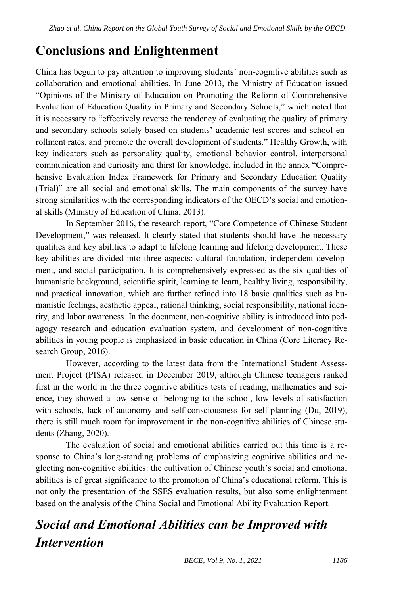### **Conclusions and Enlightenment**

China has begun to pay attention to improving students' non-cognitive abilities such as collaboration and emotional abilities. In June 2013, the Ministry of Education issued "Opinions of the Ministry of Education on Promoting the Reform of Comprehensive Evaluation of Education Quality in Primary and Secondary Schools," which noted that it is necessary to "effectively reverse the tendency of evaluating the quality of primary and secondary schools solely based on students' academic test scores and school enrollment rates, and promote the overall development of students." Healthy Growth, with key indicators such as personality quality, emotional behavior control, interpersonal communication and curiosity and thirst for knowledge, included in the annex "Comprehensive Evaluation Index Framework for Primary and Secondary Education Quality (Trial)" are all social and emotional skills. The main components of the survey have strong similarities with the corresponding indicators of the OECD's social and emotional skills (Ministry of Education of China, 2013).

In September 2016, the research report, "Core Competence of Chinese Student Development," was released. It clearly stated that students should have the necessary qualities and key abilities to adapt to lifelong learning and lifelong development. These key abilities are divided into three aspects: cultural foundation, independent development, and social participation. It is comprehensively expressed as the six qualities of humanistic background, scientific spirit, learning to learn, healthy living, responsibility, and practical innovation, which are further refined into 18 basic qualities such as humanistic feelings, aesthetic appeal, rational thinking, social responsibility, national identity, and labor awareness. In the document, non-cognitive ability is introduced into pedagogy research and education evaluation system, and development of non-cognitive abilities in young people is emphasized in basic education in China (Core Literacy Research Group, 2016).

However, according to the latest data from the International Student Assessment Project (PISA) released in December 2019, although Chinese teenagers ranked first in the world in the three cognitive abilities tests of reading, mathematics and science, they showed a low sense of belonging to the school, low levels of satisfaction with schools, lack of autonomy and self-consciousness for self-planning (Du, 2019), there is still much room for improvement in the non-cognitive abilities of Chinese students (Zhang, 2020).

The evaluation of social and emotional abilities carried out this time is a response to China's long-standing problems of emphasizing cognitive abilities and neglecting non-cognitive abilities: the cultivation of Chinese youth's social and emotional abilities is of great significance to the promotion of China's educational reform. This is not only the presentation of the SSES evaluation results, but also some enlightenment based on the analysis of the China Social and Emotional Ability Evaluation Report.

# *Social and Emotional Abilities can be Improved with Intervention*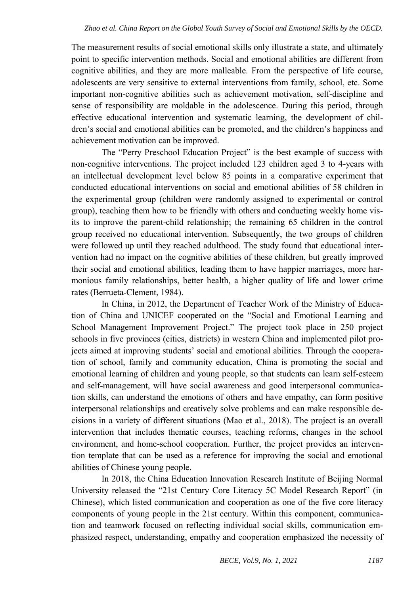The measurement results of social emotional skills only illustrate a state, and ultimately point to specific intervention methods. Social and emotional abilities are different from cognitive abilities, and they are more malleable. From the perspective of life course, adolescents are very sensitive to external interventions from family, school, etc. Some important non-cognitive abilities such as achievement motivation, self-discipline and sense of responsibility are moldable in the adolescence. During this period, through effective educational intervention and systematic learning, the development of children's social and emotional abilities can be promoted, and the children's happiness and achievement motivation can be improved.

The "Perry Preschool Education Project" is the best example of success with non-cognitive interventions. The project included 123 children aged 3 to 4-years with an intellectual development level below 85 points in a comparative experiment that conducted educational interventions on social and emotional abilities of 58 children in the experimental group (children were randomly assigned to experimental or control group), teaching them how to be friendly with others and conducting weekly home visits to improve the parent-child relationship; the remaining 65 children in the control group received no educational intervention. Subsequently, the two groups of children were followed up until they reached adulthood. The study found that educational intervention had no impact on the cognitive abilities of these children, but greatly improved their social and emotional abilities, leading them to have happier marriages, more harmonious family relationships, better health, a higher quality of life and lower crime rates (Berrueta-Clement, 1984).

In China, in 2012, the Department of Teacher Work of the Ministry of Education of China and UNICEF cooperated on the "Social and Emotional Learning and School Management Improvement Project." The project took place in 250 project schools in five provinces (cities, districts) in western China and implemented pilot projects aimed at improving students' social and emotional abilities. Through the cooperation of school, family and community education, China is promoting the social and emotional learning of children and young people, so that students can learn self-esteem and self-management, will have social awareness and good interpersonal communication skills, can understand the emotions of others and have empathy, can form positive interpersonal relationships and creatively solve problems and can make responsible decisions in a variety of different situations (Mao et al., 2018). The project is an overall intervention that includes thematic courses, teaching reforms, changes in the school environment, and home-school cooperation. Further, the project provides an intervention template that can be used as a reference for improving the social and emotional abilities of Chinese young people.

In 2018, the China Education Innovation Research Institute of Beijing Normal University released the "21st Century Core Literacy 5C Model Research Report" (in Chinese), which listed communication and cooperation as one of the five core literacy components of young people in the 21st century. Within this component, communication and teamwork focused on reflecting individual social skills, communication emphasized respect, understanding, empathy and cooperation emphasized the necessity of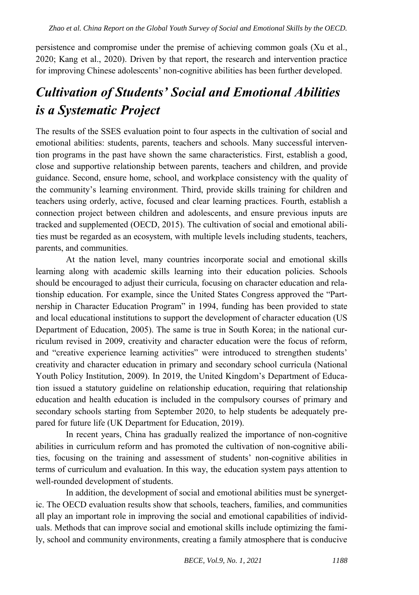persistence and compromise under the premise of achieving common goals (Xu et al., 2020; Kang et al., 2020). Driven by that report, the research and intervention practice for improving Chinese adolescents' non-cognitive abilities has been further developed.

# *Cultivation of Students' Social and Emotional Abilities is a Systematic Project*

The results of the SSES evaluation point to four aspects in the cultivation of social and emotional abilities: students, parents, teachers and schools. Many successful intervention programs in the past have shown the same characteristics. First, establish a good, close and supportive relationship between parents, teachers and children, and provide guidance. Second, ensure home, school, and workplace consistency with the quality of the community's learning environment. Third, provide skills training for children and teachers using orderly, active, focused and clear learning practices. Fourth, establish a connection project between children and adolescents, and ensure previous inputs are tracked and supplemented (OECD, 2015). The cultivation of social and emotional abilities must be regarded as an ecosystem, with multiple levels including students, teachers, parents, and communities.

At the nation level, many countries incorporate social and emotional skills learning along with academic skills learning into their education policies. Schools should be encouraged to adjust their curricula, focusing on character education and relationship education. For example, since the United States Congress approved the "Partnership in Character Education Program" in 1994, funding has been provided to state and local educational institutions to support the development of character education (US Department of Education, 2005). The same is true in South Korea; in the national curriculum revised in 2009, creativity and character education were the focus of reform, and "creative experience learning activities" were introduced to strengthen students' creativity and character education in primary and secondary school curricula (National Youth Policy Institution, 2009). In 2019, the United Kingdom's Department of Education issued a statutory guideline on relationship education, requiring that relationship education and health education is included in the compulsory courses of primary and secondary schools starting from September 2020, to help students be adequately prepared for future life (UK Department for Education, 2019).

In recent years, China has gradually realized the importance of non-cognitive abilities in curriculum reform and has promoted the cultivation of non-cognitive abilities, focusing on the training and assessment of students' non-cognitive abilities in terms of curriculum and evaluation. In this way, the education system pays attention to well-rounded development of students.

In addition, the development of social and emotional abilities must be synergetic. The OECD evaluation results show that schools, teachers, families, and communities all play an important role in improving the social and emotional capabilities of individuals. Methods that can improve social and emotional skills include optimizing the family, school and community environments, creating a family atmosphere that is conducive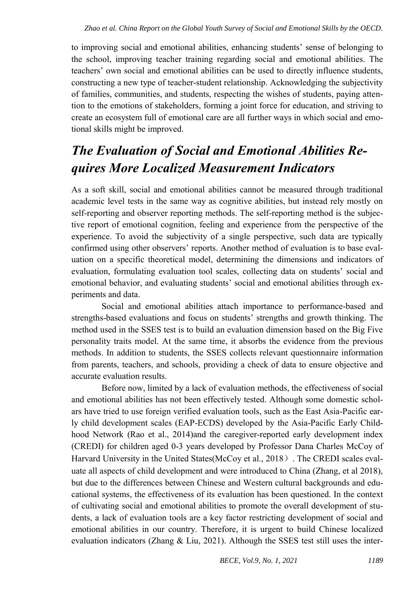to improving social and emotional abilities, enhancing students' sense of belonging to the school, improving teacher training regarding social and emotional abilities. The teachers' own social and emotional abilities can be used to directly influence students, constructing a new type of teacher-student relationship. Acknowledging the subjectivity of families, communities, and students, respecting the wishes of students, paying attention to the emotions of stakeholders, forming a joint force for education, and striving to create an ecosystem full of emotional care are all further ways in which social and emotional skills might be improved.

# *The Evaluation of Social and Emotional Abilities Requires More Localized Measurement Indicators*

As a soft skill, social and emotional abilities cannot be measured through traditional academic level tests in the same way as cognitive abilities, but instead rely mostly on self-reporting and observer reporting methods. The self-reporting method is the subjective report of emotional cognition, feeling and experience from the perspective of the experience. To avoid the subjectivity of a single perspective, such data are typically confirmed using other observers' reports. Another method of evaluation is to base evaluation on a specific theoretical model, determining the dimensions and indicators of evaluation, formulating evaluation tool scales, collecting data on students' social and emotional behavior, and evaluating students' social and emotional abilities through experiments and data.

Social and emotional abilities attach importance to performance-based and strengths-based evaluations and focus on students' strengths and growth thinking. The method used in the SSES test is to build an evaluation dimension based on the Big Five personality traits model. At the same time, it absorbs the evidence from the previous methods. In addition to students, the SSES collects relevant questionnaire information from parents, teachers, and schools, providing a check of data to ensure objective and accurate evaluation results.

Before now, limited by a lack of evaluation methods, the effectiveness of social and emotional abilities has not been effectively tested. Although some domestic scholars have tried to use foreign verified evaluation tools, such as the East Asia-Pacific early child development scales (EAP-ECDS) developed by the Asia-Pacific Early Childhood Network (Rao et al., 2014)and the caregiver-reported early development index (CREDI) for children aged 0-3 years developed by Professor Dana Charles McCoy of Harvard University in the United States(McCoy et al., 2018). The CREDI scales evaluate all aspects of child development and were introduced to China (Zhang, et al 2018), but due to the differences between Chinese and Western cultural backgrounds and educational systems, the effectiveness of its evaluation has been questioned. In the context of cultivating social and emotional abilities to promote the overall development of students, a lack of evaluation tools are a key factor restricting development of social and emotional abilities in our country. Therefore, it is urgent to build Chinese localized evaluation indicators (Zhang  $& Liu, 2021$ ). Although the SSES test still uses the inter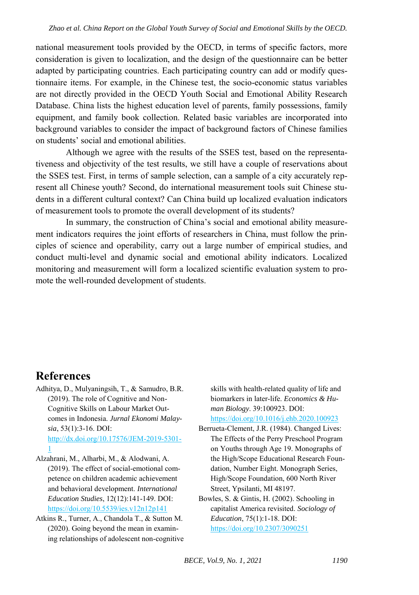national measurement tools provided by the OECD, in terms of specific factors, more consideration is given to localization, and the design of the questionnaire can be better adapted by participating countries. Each participating country can add or modify questionnaire items. For example, in the Chinese test, the socio-economic status variables are not directly provided in the OECD Youth Social and Emotional Ability Research Database. China lists the highest education level of parents, family possessions, family equipment, and family book collection. Related basic variables are incorporated into background variables to consider the impact of background factors of Chinese families on students' social and emotional abilities.

Although we agree with the results of the SSES test, based on the representativeness and objectivity of the test results, we still have a couple of reservations about the SSES test. First, in terms of sample selection, can a sample of a city accurately represent all Chinese youth? Second, do international measurement tools suit Chinese students in a different cultural context? Can China build up localized evaluation indicators of measurement tools to promote the overall development of its students?

In summary, the construction of China's social and emotional ability measurement indicators requires the joint efforts of researchers in China, must follow the principles of science and operability, carry out a large number of empirical studies, and conduct multi-level and dynamic social and emotional ability indicators. Localized monitoring and measurement will form a localized scientific evaluation system to promote the well-rounded development of students.

#### **References**

- Adhitya, D., Mulyaningsih, T., & Samudro, B.R. (2019). The role of Cognitive and Non-Cognitive Skills on Labour Market Outcomes in Indonesia. *Jurnal Ekonomi Malaysia*, 53(1):3-16. DOI: [http://dx.doi.org/10.17576/JEM-2019-5301-](http://dx.doi.org/10.17576/JEM-2019-5301-1) [1](http://dx.doi.org/10.17576/JEM-2019-5301-1)
- Alzahrani, M., Alharbi, M., & Alodwani, A. (2019). The effect of social-emotional competence on children academic achievement and behavioral development. *International Education Studies*, 12(12):141-149. DOI: <https://doi.org/10.5539/ies.v12n12p141>
- Atkins R., Turner, A., Chandola T., & Sutton M. (2020). Going beyond the mean in examining relationships of adolescent non-cognitive

skills with health-related quality of life and biomarkers in later-life. *Economics & Human Biology*. 39:100923. DOI: <https://doi.org/10.1016/j.ehb.2020.100923>

- Berrueta-Clement, J.R. (1984). Changed Lives: The Effects of the Perry Preschool Program on Youths through Age 19. Monographs of the High/Scope Educational Research Foundation, Number Eight. Monograph Series, High/Scope Foundation, 600 North River Street, Ypsilanti, MI 48197.
- Bowles, S. & Gintis, H. (2002). Schooling in capitalist America revisited. *Sociology of Education*, 75(1):1-18. DOI: <https://doi.org/10.2307/3090251>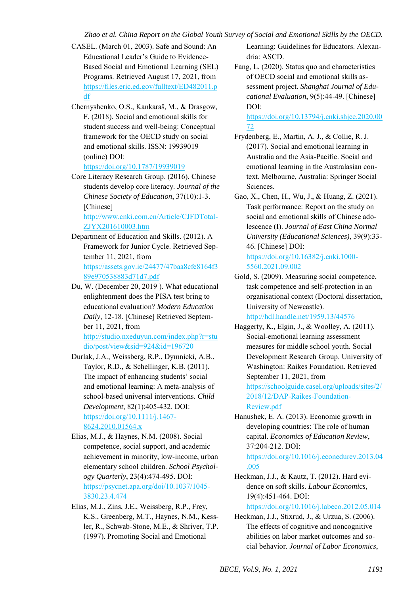- CASEL. (March 01, 2003). Safe and Sound: An Educational Leader's Guide to Evidence-Based Social and Emotional Learning (SEL) Programs. Retrieved August 17, 2021, from [https://files.eric.ed.gov/fulltext/ED482011.p](https://files.eric.ed.gov/fulltext/ED482011.pdf) [df](https://files.eric.ed.gov/fulltext/ED482011.pdf)
- Chernyshenko, O.S., Kankaraš, M., & Drasgow, F. (2018). Social and emotional skills for student success and well-being: Conceptual framework for the OECD study on social and emotional skills. ISSN: 19939019 (online) DOI:

<https://doi.org/10.1787/19939019>

Core Literacy Research Group. (2016). Chinese students develop core literacy. *Journal of the Chinese Society of Education*, 37(10):1-3. [Chinese]

[http://www.cnki.com.cn/Article/CJFDTotal-](http://www.cnki.com.cn/Article/CJFDTotal-ZJYX201610003.htm)[ZJYX201610003.htm](http://www.cnki.com.cn/Article/CJFDTotal-ZJYX201610003.htm) 

- Department of Education and Skills. (2012). A Framework for Junior Cycle. Retrieved September 11, 2021, from [https://assets.gov.ie/24477/47baa8cfe8164f3](https://assets.gov.ie/24477/47baa8cfe8164f389e970538883d71d7.pdf) [89e970538883d71d7.pdf](https://assets.gov.ie/24477/47baa8cfe8164f389e970538883d71d7.pdf)
- Du, W. (December 20, 2019 ). What educational enlightenment does the PISA test bring to educational evaluation? *Modern Education Daily*, 12-18. [Chinese] Retrieved September 11, 2021, from

[http://studio.nxeduyun.com/index.php?r=stu](http://studio.nxeduyun.com/index.php?r=studio/post/view&sid=924&id=196720) [dio/post/view&sid=924&id=196720](http://studio.nxeduyun.com/index.php?r=studio/post/view&sid=924&id=196720) 

- Durlak, J.A., Weissberg, R.P., Dymnicki, A.B., Taylor, R.D., & Schellinger, K.B. (2011). The impact of enhancing students' social and emotional learning: A meta-analysis of school-based universal interventions. *Child Development*, 82(1):405-432. DOI: [https://doi.org/10.1111/j.1467-](https://doi.org/10.1111/j.1467-8624.2010.01564.x) [8624.2010.01564.x](https://doi.org/10.1111/j.1467-8624.2010.01564.x)
- Elias, M.J., & Haynes, N.M. (2008). Social competence, social support, and academic achievement in minority, low-income, urban elementary school children. *School Psychology Quarterly*, 23(4):474-495. DOI: [https://psycnet.apa.org/doi/10.1037/1045-](https://psycnet.apa.org/doi/10.1037/1045-3830.23.4.474) [3830.23.4.474](https://psycnet.apa.org/doi/10.1037/1045-3830.23.4.474)
- Elias, M.J., Zins, J.E., Weissberg, R.P., Frey, K.S., Greenberg, M.T., Haynes, N.M., Kessler, R., Schwab-Stone, M.E., & Shriver, T.P. (1997). Promoting Social and Emotional

Learning: Guidelines for Educators. Alexandria: ASCD.

Fang, L. (2020). Status quo and characteristics of OECD social and emotional skills assessment project. *Shanghai Journal of Educational Evaluation*, 9(5):44-49. [Chinese] DOI:

[https://doi.org/10.13794/j.cnki.shjee.2020.00](https://doi.org/10.13794/j.cnki.shjee.2020.0072) [72](https://doi.org/10.13794/j.cnki.shjee.2020.0072) 

- Frydenberg, E., Martin, A. J., & Collie, R. J. (2017). Social and emotional learning in Australia and the Asia-Pacific. Social and emotional learning in the Australasian context. Melbourne, Australia: Springer Social Sciences.
- Gao, X., Chen, H., Wu, J., & Huang, Z. (2021). Task performance: Report on the study on social and emotional skills of Chinese adolescence (I). *Journal of East China Normal University (Educational Sciences)*, 39(9):33- 46. [Chinese] DOI: [https://doi.org/10.16382/j.cnki.1000-](https://doi.org/10.16382/j.cnki.1000-5560.2021.09.002) [5560.2021.09.002](https://doi.org/10.16382/j.cnki.1000-5560.2021.09.002)
- Gold, S. (2009). Measuring social competence, task competence and self-protection in an organisational context (Doctoral dissertation, University of Newcastle). <http://hdl.handle.net/1959.13/44576>
- Haggerty, K., Elgin, J., & Woolley, A. (2011). Social-emotional learning assessment measures for middle school youth. Social Development Research Group. University of Washington: Raikes Foundation. Retrieved September 11, 2021, from [https://schoolguide.casel.org/uploads/sites/2/](https://schoolguide.casel.org/uploads/sites/2/2018/12/DAP-Raikes-Foundation-Review.pdf) [2018/12/DAP-Raikes-Foundation-](https://schoolguide.casel.org/uploads/sites/2/2018/12/DAP-Raikes-Foundation-Review.pdf)[Review.pdf](https://schoolguide.casel.org/uploads/sites/2/2018/12/DAP-Raikes-Foundation-Review.pdf)
- Hanushek, E. A. (2013). Economic growth in developing countries: The role of human capital. *Economics of Education Review*, 37:204-212. DOI: [https://doi.org/10.1016/j.econedurev.2013.04](https://doi.org/10.1016/j.econedurev.2013.04.005)
- Heckman, J.J., & Kautz, T. (2012). Hard evidence on soft skills. *Labour Economics*, 19(4):451-464. DOI:

<https://doi.org/10.1016/j.labeco.2012.05.014>

Heckman, J.J., Stixrud, J., & Urzua, S. (2006). The effects of cognitive and noncognitive abilities on labor market outcomes and social behavior. *Journal of Labor Economics*,

[.005](https://doi.org/10.1016/j.econedurev.2013.04.005)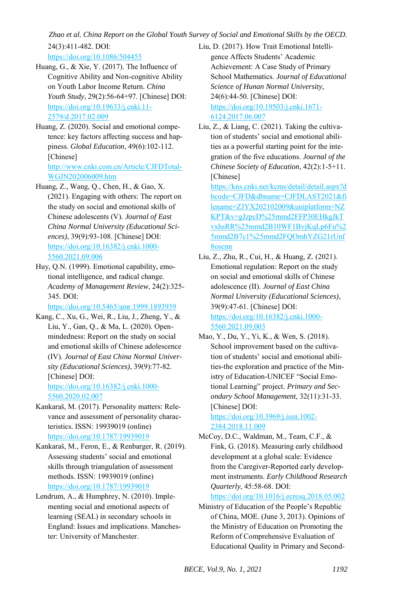<https://doi.org/10.1086/504455>

- Huang, G., & Xie, Y. (2017). The Influence of Cognitive Ability and Non-cognitive Ability on Youth Labor Income Return. *China Youth Study*, 29(2):56-64+97. [Chinese] DOI: [https://doi.org/10.19633/j.cnki.11-](https://doi.org/10.19633/j.cnki.11-2579/d.2017.02.009) [2579/d.2017.02.009](https://doi.org/10.19633/j.cnki.11-2579/d.2017.02.009)
- Huang, Z. (2020). Social and emotional competence: key factors affecting success and happiness. *Global Education*, 49(6):102-112. [Chinese] [http://www.cnki.com.cn/Article/CJFDTotal-](http://www.cnki.com.cn/Article/CJFDTotal-WGJN202006009.htm)[WGJN202006009.htm](http://www.cnki.com.cn/Article/CJFDTotal-WGJN202006009.htm)
- Huang, Z., Wang, Q., Chen, H., & Gao, X. (2021). Engaging with others: The report on the study on social and emotional skills of Chinese adolescents (V). *Journal of East China Normal University (Educational Sciences)*, 39(9):93-108. [Chinese] DOI: [https://doi.org/10.16382/j.cnki.1000-](https://doi.org/10.16382/j.cnki.1000-5560.2021.09.006) [5560.2021.09.006](https://doi.org/10.16382/j.cnki.1000-5560.2021.09.006)
- Huy, Q.N. (1999). Emotional capability, emotional intelligence, and radical change. *Academy of Management Review*, 24(2):325- 345. DOI:

<https://doi.org/10.5465/amr.1999.1893939>

- Kang, C., Xu, G., Wei, R., Liu, J., Zheng, Y., & Liu, Y., Gan, Q., & Ma, L. (2020). Openmindedness: Report on the study on social and emotional skills of Chinese adolescence (IV). *Journal of East China Normal University (Educational Sciences)*, 39(9):77-82. [Chinese] DOI: [https://doi.org/10.16382/j.cnki.1000-](https://doi.org/10.16382/j.cnki.1000-5560.2020.02.007) [5560.2020.02.007](https://doi.org/10.16382/j.cnki.1000-5560.2020.02.007)
- Kankaraš, M. (2017). Personality matters: Relevance and assessment of personality characteristics. ISSN: 19939019 (online) <https://doi.org/10.1787/19939019>
- Kankaraš, M., Feron, E., & Renbarger, R. (2019). Assessing students' social and emotional skills through triangulation of assessment methods. ISSN: 19939019 (online) <https://doi.org/10.1787/19939019>
- Lendrum, A., & Humphrey, N. (2010). Implementing social and emotional aspects of learning (SEAL) in secondary schools in England: Issues and implications. Manchester: University of Manchester.
- Liu, D. (2017). How Trait Emotional Intelligence Affects Students' Academic Achievement: A Case Study of Primary School Mathematics. *Journal of Educational Science of Hunan Normal University*, 24(6):44-50. [Chinese] DOI: [https://doi.org/10.19503/j.cnki.1671-](https://doi.org/10.19503/j.cnki.1671-6124.2017.06.007) [6124.2017.06.007](https://doi.org/10.19503/j.cnki.1671-6124.2017.06.007)
- Liu, Z., & Liang, C. (2021). Taking the cultivation of students' social and emotional abilities as a powerful starting point for the integration of the five educations. *Journal of the Chinese Society of Education*, 42(2):1-5+11. [Chinese] [https://kns.cnki.net/kcms/detail/detail.aspx?d](https://kns.cnki.net/kcms/detail/detail.aspx?dbcode=CJFD&dbname=CJFDLAST2021&filename=ZJYX202102009&uniplatform=NZKPT&v=gJzpcD%25mmd2FFP30EHkgJkTvxhsRR%25mmd2B10WF1BvjKqLp6Fu%25mmd2B7c1%25mmd2FQOmhYZG21rUnf8oscnn) [bcode=CJFD&dbname=CJFDLAST2021&fi](https://kns.cnki.net/kcms/detail/detail.aspx?dbcode=CJFD&dbname=CJFDLAST2021&filename=ZJYX202102009&uniplatform=NZKPT&v=gJzpcD%25mmd2FFP30EHkgJkTvxhsRR%25mmd2B10WF1BvjKqLp6Fu%25mmd2B7c1%25mmd2FQOmhYZG21rUnf8oscnn) [lename=ZJYX202102009&uniplatform=NZ](https://kns.cnki.net/kcms/detail/detail.aspx?dbcode=CJFD&dbname=CJFDLAST2021&filename=ZJYX202102009&uniplatform=NZKPT&v=gJzpcD%25mmd2FFP30EHkgJkTvxhsRR%25mmd2B10WF1BvjKqLp6Fu%25mmd2B7c1%25mmd2FQOmhYZG21rUnf8oscnn) [KPT&v=gJzpcD%25mmd2FFP30EHkgJkT](https://kns.cnki.net/kcms/detail/detail.aspx?dbcode=CJFD&dbname=CJFDLAST2021&filename=ZJYX202102009&uniplatform=NZKPT&v=gJzpcD%25mmd2FFP30EHkgJkTvxhsRR%25mmd2B10WF1BvjKqLp6Fu%25mmd2B7c1%25mmd2FQOmhYZG21rUnf8oscnn) [vxhsRR%25mmd2B10WF1BvjKqLp6Fu%2](https://kns.cnki.net/kcms/detail/detail.aspx?dbcode=CJFD&dbname=CJFDLAST2021&filename=ZJYX202102009&uniplatform=NZKPT&v=gJzpcD%25mmd2FFP30EHkgJkTvxhsRR%25mmd2B10WF1BvjKqLp6Fu%25mmd2B7c1%25mmd2FQOmhYZG21rUnf8oscnn) [5mmd2B7c1%25mmd2FQOmhYZG21rUnf](https://kns.cnki.net/kcms/detail/detail.aspx?dbcode=CJFD&dbname=CJFDLAST2021&filename=ZJYX202102009&uniplatform=NZKPT&v=gJzpcD%25mmd2FFP30EHkgJkTvxhsRR%25mmd2B10WF1BvjKqLp6Fu%25mmd2B7c1%25mmd2FQOmhYZG21rUnf8oscnn) [8oscnn](https://kns.cnki.net/kcms/detail/detail.aspx?dbcode=CJFD&dbname=CJFDLAST2021&filename=ZJYX202102009&uniplatform=NZKPT&v=gJzpcD%25mmd2FFP30EHkgJkTvxhsRR%25mmd2B10WF1BvjKqLp6Fu%25mmd2B7c1%25mmd2FQOmhYZG21rUnf8oscnn)
- Liu, Z., Zhu, R., Cui, H., & Huang, Z. (2021). Emotional regulation: Report on the study on social and emotional skills of Chinese adolescence (II). *Journal of East China Normal University (Educational Sciences)*, 39(9):47-61. [Chinese] DOI: [https://doi.org/10.16382/j.cnki.1000-](https://doi.org/10.16382/j.cnki.1000-5560.2021.09.003) [5560.2021.09.003](https://doi.org/10.16382/j.cnki.1000-5560.2021.09.003)
- Mao, Y., Du, Y., Yi, K., & Wen, S. (2018). School improvement based on the cultivation of students' social and emotional abilities-the exploration and practice of the Ministry of Education-UNICEF "Social Emotional Learning" project. *Primary and Secondary School Management*, 32(11):31-33. [Chinese] DOI: [https://doi.org/10.3969/j.issn.1002-](https://doi.org/10.3969/j.issn.1002-2384.2018.11.009)

[2384.2018.11.009](https://doi.org/10.3969/j.issn.1002-2384.2018.11.009) 

McCoy, D.C., Waldman, M., Team, C.F., & Fink, G. (2018). Measuring early childhood development at a global scale: Evidence from the Caregiver-Reported early development instruments. *Early Childhood Research Quarterly*, 45:58-68. DOI:

<https://doi.org/10.1016/j.ecresq.2018.05.002>

Ministry of Education of the People's Republic of China, MOE. (June 3, 2013). Opinions of the Ministry of Education on Promoting the Reform of Comprehensive Evaluation of Educational Quality in Primary and Second-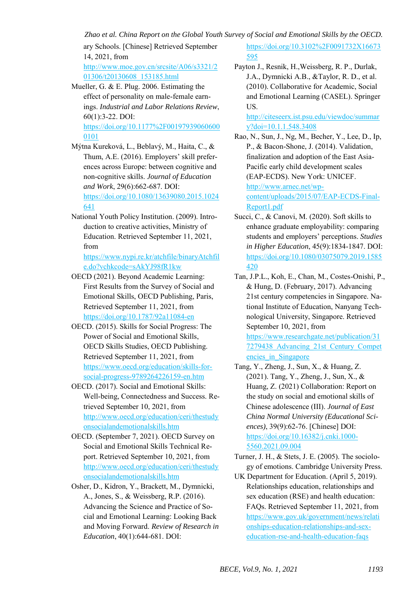ary Schools. [Chinese] Retrieved September 14, 2021, from

[http://www.moe.gov.cn/srcsite/A06/s3321/2](http://www.moe.gov.cn/srcsite/A06/s3321/201306/t20130608_153185.html) [01306/t20130608\\_153185.html](http://www.moe.gov.cn/srcsite/A06/s3321/201306/t20130608_153185.html)

Mueller, G. & E. Plug. 2006. Estimating the effect of personality on male-female earnings. *Industrial and Labor Relations Review*, 60(1):3-22. DOI: [https://doi.org/10.1177%2F00197939060600](https://doi.org/10.1177%2F001979390606000101) [0101](https://doi.org/10.1177%2F001979390606000101) 

Mýtna Kureková, L., Beblavý, M., Haita, C., & Thum, A.E. (2016). Employers' skill preferences across Europe: between cognitive and non-cognitive skills. *Journal of Education and Work*, 29(6):662-687. DOI:

[https://doi.org/10.1080/13639080.2015.1024](https://doi.org/10.1080/13639080.2015.1024641) [641](https://doi.org/10.1080/13639080.2015.1024641) 

National Youth Policy Institution. (2009). Introduction to creative activities, Ministry of Education. Retrieved September 11, 2021, from

[https://www.nypi.re.kr/atchfile/binaryAtchfil](https://www.nypi.re.kr/atchfile/binaryAtchfile.do?vchkcode=sAkYJ98fR1kw) [e.do?vchkcode=sAkYJ98fR1kw](https://www.nypi.re.kr/atchfile/binaryAtchfile.do?vchkcode=sAkYJ98fR1kw) 

- OECD (2021). Beyond Academic Learning: First Results from the Survey of Social and Emotional Skills, OECD Publishing, Paris, Retrieved September 11, 2021, from <https://doi.org/10.1787/92a11084-en>
- OECD. (2015). Skills for Social Progress: The Power of Social and Emotional Skills, OECD Skills Studies, OECD Publishing. Retrieved September 11, 2021, from [https://www.oecd.org/education/skills-for](https://www.oecd.org/education/skills-for-social-progress-9789264226159-en.htm)[social-progress-9789264226159-en.htm](https://www.oecd.org/education/skills-for-social-progress-9789264226159-en.htm)
- OECD. (2017). Social and Emotional Skills: Well-being, Connectedness and Success. Retrieved September 10, 2021, from [http://www.oecd.org/education/ceri/thestudy](http://www.oecd.org/education/ceri/thestudyonsocialandemotionalskills.htm) [onsocialandemotionalskills.htm](http://www.oecd.org/education/ceri/thestudyonsocialandemotionalskills.htm)
- OECD. (September 7, 2021). OECD Survey on Social and Emotional Skills Technical Report. Retrieved September 10, 2021, from [http://www.oecd.org/education/ceri/thestudy](http://www.oecd.org/education/ceri/thestudyonsocialandemotionalskills.htm) [onsocialandemotionalskills.htm](http://www.oecd.org/education/ceri/thestudyonsocialandemotionalskills.htm)
- Osher, D., Kidron, Y., Brackett, M., Dymnicki, A., Jones, S., & Weissberg, R.P. (2016). Advancing the Science and Practice of Social and Emotional Learning: Looking Back and Moving Forward. *Review of Research in Education*, 40(1):644-681. DOI:

[https://doi.org/10.3102%2F0091732X16673](https://doi.org/10.3102%2F0091732X16673595) [595](https://doi.org/10.3102%2F0091732X16673595)

Payton J., Resnik, H.,Weissberg, R. P., Durlak, J.A., Dymnicki A.B., &Taylor, R. D., et al. (2010). Collaborative for Academic, Social and Emotional Learning (CASEL). Springer US.

[http://citeseerx.ist.psu.edu/viewdoc/summar](http://citeseerx.ist.psu.edu/viewdoc/summary?doi=10.1.1.548.3408) [y?doi=10.1.1.548.3408](http://citeseerx.ist.psu.edu/viewdoc/summary?doi=10.1.1.548.3408) 

- Rao, N., Sun, J., Ng, M., Becher, Y., Lee, D., Ip, P., & Bacon-Shone, J. (2014). Validation, finalization and adoption of the East Asia-Pacific early child development scales (EAP-ECDS). New York: UNICEF. [http://www.arnec.net/wp](http://www.arnec.net/wp-content/uploads/2015/07/EAP-ECDS-Final-Report1.pdf)[content/uploads/2015/07/EAP-ECDS-Final-](http://www.arnec.net/wp-content/uploads/2015/07/EAP-ECDS-Final-Report1.pdf)[Report1.pdf](http://www.arnec.net/wp-content/uploads/2015/07/EAP-ECDS-Final-Report1.pdf)
- Succi, C., & Canovi, M. (2020). Soft skills to enhance graduate employability: comparing students and employers' perceptions. *Studies in Higher Education*, 45(9):1834-1847. DOI: [https://doi.org/10.1080/03075079.2019.1585](https://doi.org/10.1080/03075079.2019.1585420) [420](https://doi.org/10.1080/03075079.2019.1585420)
- Tan, J.P.L., Koh, E., Chan, M., Costes-Onishi, P., & Hung, D. (February, 2017). Advancing 21st century competencies in Singapore. National Institute of Education, Nanyang Technological University, Singapore. Retrieved September 10, 2021, from [https://www.researchgate.net/publication/31](https://www.researchgate.net/publication/317279438_Advancing_21st_Century_Competencies_in_Singapore)

[7279438\\_Advancing\\_21st\\_Century\\_Compet](https://www.researchgate.net/publication/317279438_Advancing_21st_Century_Competencies_in_Singapore) encies\_in\_Singapore

- Tang, Y., Zheng, J., Sun, X., & Huang, Z. (2021). Tang, Y., Zheng, J., Sun, X., & Huang, Z. (2021) Collaboration: Report on the study on social and emotional skills of Chinese adolescence (III). *Journal of East China Normal University (Educational Sciences)*, 39(9):62-76. [Chinese] DOI: [https://doi.org/10.16382/j.cnki.1000-](https://doi.org/10.16382/j.cnki.1000-5560.2021.09.004) [5560.2021.09.004](https://doi.org/10.16382/j.cnki.1000-5560.2021.09.004)
- Turner, J. H., & Stets, J. E. (2005). The sociology of emotions. Cambridge University Press.

UK Department for Education. (April 5, 2019). Relationships education, relationships and sex education (RSE) and health education: FAQs. Retrieved September 11, 2021, from [https://www.gov.uk/government/news/relati](https://www.gov.uk/government/news/relationships-education-relationships-and-sex-education-rse-and-health-education-faqs) [onships-education-relationships-and-sex](https://www.gov.uk/government/news/relationships-education-relationships-and-sex-education-rse-and-health-education-faqs)[education-rse-and-health-education-faqs](https://www.gov.uk/government/news/relationships-education-relationships-and-sex-education-rse-and-health-education-faqs)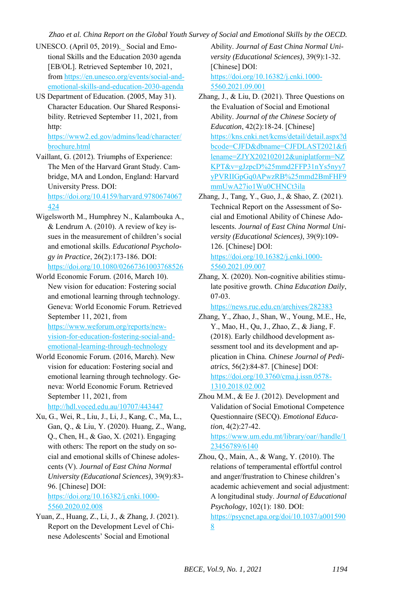- UNESCO. (April 05, 2019). Social and Emotional Skills and the Education 2030 agenda [EB/OL]. Retrieved September 10, 2021, fro[m https://en.unesco.org/events/social-and](https://en.unesco.org/events/social-and-emotional-skills-and-education-2030-agenda)[emotional-skills-and-education-2030-agenda](https://en.unesco.org/events/social-and-emotional-skills-and-education-2030-agenda)
- US Department of Education. (2005, May 31). Character Education. Our Shared Responsibility. Retrieved September 11, 2021, from http:

[https://www2.ed.gov/admins/lead/character/](https://www2.ed.gov/admins/lead/character/brochure.html) [brochure.html](https://www2.ed.gov/admins/lead/character/brochure.html)

Vaillant, G. (2012). Triumphs of Experience: The Men of the Harvard Grant Study. Cambridge, MA and London, England: Harvard University Press. DOI: [https://doi.org/10.4159/harvard.9780674067](https://doi.org/10.4159/harvard.9780674067424)

[424](https://doi.org/10.4159/harvard.9780674067424) 

- Wigelsworth M., Humphrey N., Kalambouka A., & Lendrum A. (2010). A review of key issues in the measurement of children's social and emotional skills. *Educational Psychology in Practice*, 26(2):173-186. DOI: <https://doi.org/10.1080/02667361003768526>
- World Economic Forum. (2016, March 10). New vision for education: Fostering social and emotional learning through technology. Geneva: World Economic Forum. Retrieved September 11, 2021, from

[https://www.weforum.org/reports/new](https://www.weforum.org/reports/new-vision-for-education-fostering-social-and-emotional-learning-through-technology)[vision-for-education-fostering-social-and](https://www.weforum.org/reports/new-vision-for-education-fostering-social-and-emotional-learning-through-technology)[emotional-learning-through-technology](https://www.weforum.org/reports/new-vision-for-education-fostering-social-and-emotional-learning-through-technology) 

- World Economic Forum. (2016, March). New vision for education: Fostering social and emotional learning through technology. Geneva: World Economic Forum. Retrieved September 11, 2021, from <http://hdl.voced.edu.au/10707/443447>
- Xu, G., Wei, R., Liu, J., Li, J., Kang, C., Ma, L., Gan, Q., & Liu, Y. (2020). Huang, Z., Wang, Q., Chen, H., & Gao, X. (2021). Engaging with others: The report on the study on social and emotional skills of Chinese adolescents (V). *Journal of East China Normal University (Educational Sciences)*, 39(9):83- 96. [Chinese] DOI: [https://doi.org/10.16382/j.cnki.1000-](https://doi.org/10.16382/j.cnki.1000-5560.2020.02.008) [5560.2020.02.008](https://doi.org/10.16382/j.cnki.1000-5560.2020.02.008)
- Yuan, Z., Huang, Z., Li, J., & Zhang, J. (2021). Report on the Development Level of Chinese Adolescents' Social and Emotional

Ability. *Journal of East China Normal University (Educational Sciences)*, 39(9):1-32. [Chinese] DOI: [https://doi.org/10.16382/j.cnki.1000-](https://doi.org/10.16382/j.cnki.1000-5560.2021.09.001) [5560.2021.09.001](https://doi.org/10.16382/j.cnki.1000-5560.2021.09.001)

- Zhang, J., & Liu, D. (2021). Three Questions on the Evaluation of Social and Emotional Ability. *Journal of the Chinese Society of Education*, 42(2):18-24. [Chinese] [https://kns.cnki.net/kcms/detail/detail.aspx?d](https://kns.cnki.net/kcms/detail/detail.aspx?dbcode=CJFD&dbname=CJFDLAST2021&filename=ZJYX202102012&uniplatform=NZKPT&v=gJzpcD%25mmd2FFP31nYs5nyy7yPVRIIGpGq0APwzRB%25mmd2BmFHF9mmUwA27io1Wu0CHNCt3ila) [bcode=CJFD&dbname=CJFDLAST2021&fi](https://kns.cnki.net/kcms/detail/detail.aspx?dbcode=CJFD&dbname=CJFDLAST2021&filename=ZJYX202102012&uniplatform=NZKPT&v=gJzpcD%25mmd2FFP31nYs5nyy7yPVRIIGpGq0APwzRB%25mmd2BmFHF9mmUwA27io1Wu0CHNCt3ila) [lename=ZJYX202102012&uniplatform=NZ](https://kns.cnki.net/kcms/detail/detail.aspx?dbcode=CJFD&dbname=CJFDLAST2021&filename=ZJYX202102012&uniplatform=NZKPT&v=gJzpcD%25mmd2FFP31nYs5nyy7yPVRIIGpGq0APwzRB%25mmd2BmFHF9mmUwA27io1Wu0CHNCt3ila) [KPT&v=gJzpcD%25mmd2FFP31nYs5nyy7](https://kns.cnki.net/kcms/detail/detail.aspx?dbcode=CJFD&dbname=CJFDLAST2021&filename=ZJYX202102012&uniplatform=NZKPT&v=gJzpcD%25mmd2FFP31nYs5nyy7yPVRIIGpGq0APwzRB%25mmd2BmFHF9mmUwA27io1Wu0CHNCt3ila) [yPVRIIGpGq0APwzRB%25mmd2BmFHF9](https://kns.cnki.net/kcms/detail/detail.aspx?dbcode=CJFD&dbname=CJFDLAST2021&filename=ZJYX202102012&uniplatform=NZKPT&v=gJzpcD%25mmd2FFP31nYs5nyy7yPVRIIGpGq0APwzRB%25mmd2BmFHF9mmUwA27io1Wu0CHNCt3ila) [mmUwA27io1Wu0CHNCt3ila](https://kns.cnki.net/kcms/detail/detail.aspx?dbcode=CJFD&dbname=CJFDLAST2021&filename=ZJYX202102012&uniplatform=NZKPT&v=gJzpcD%25mmd2FFP31nYs5nyy7yPVRIIGpGq0APwzRB%25mmd2BmFHF9mmUwA27io1Wu0CHNCt3ila)
- Zhang, J., Tang, Y., Guo, J., & Shao, Z. (2021). Technical Report on the Assessment of Social and Emotional Ability of Chinese Adolescents. *Journal of East China Normal University (Educational Sciences)*, 39(9):109- 126. [Chinese] DOI: [https://doi.org/10.16382/j.cnki.1000-](https://doi.org/10.16382/j.cnki.1000-5560.2021.09.007)

[5560.2021.09.007](https://doi.org/10.16382/j.cnki.1000-5560.2021.09.007) 

Zhang, X. (2020). Non-cognitive abilities stimulate positive growth. *China Education Daily*, 07-03.

<https://news.ruc.edu.cn/archives/282383>

- Zhang, Y., Zhao, J., Shan, W., Young, M.E., He, Y., Mao, H., Qu, J., Zhao, Z., & Jiang, F. (2018). Early childhood development assessment tool and its development and application in China. *Chinese Journal of Pediatrics*, 56(2):84-87. [Chinese] DOI: [https://doi.org/10.3760/cma.j.issn.0578-](https://doi.org/10.3760/cma.j.issn.0578-1310.2018.02.002) [1310.2018.02.002](https://doi.org/10.3760/cma.j.issn.0578-1310.2018.02.002)
- Zhou M.M., & Ee J. (2012). Development and Validation of Social Emotional Competence Questionnaire (SECQ). *Emotional Education*, 4(2):27-42.

[https://www.um.edu.mt/library/oar//handle/1](https://www.um.edu.mt/library/oar/handle/123456789/6140) [23456789/6140](https://www.um.edu.mt/library/oar/handle/123456789/6140) 

Zhou, Q., Main, A., & Wang, Y. (2010). The relations of temperamental effortful control and anger/frustration to Chinese children's academic achievement and social adjustment: A longitudinal study. *Journal of Educational Psychology*, 102(1): 180. DOI:

[https://psycnet.apa.org/doi/10.1037/a001590](https://psycnet.apa.org/doi/10.1037/a0015908) [8](https://psycnet.apa.org/doi/10.1037/a0015908)